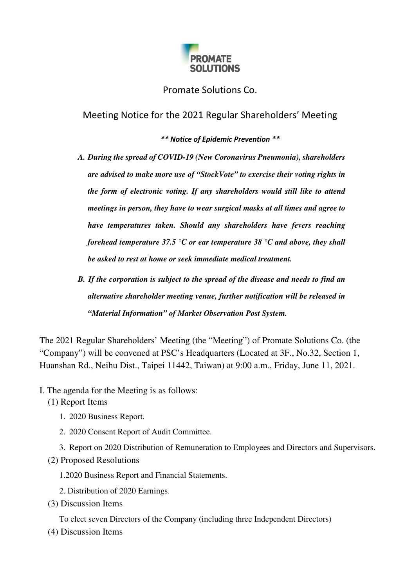

## Promate Solutions Co.

Meeting Notice for the 2021 Regular Shareholders' Meeting

*\*\* Notice of Epidemic Prevention \*\** 

- *A. During the spread of COVID-19 (New Coronavirus Pneumonia), shareholders are advised to make more use of "StockVote" to exercise their voting rights in the form of electronic voting. If any shareholders would still like to attend meetings in person, they have to wear surgical masks at all times and agree to have temperatures taken. Should any shareholders have fevers reaching forehead temperature 37.5 °C or ear temperature 38 °C and above, they shall be asked to rest at home or seek immediate medical treatment.*
- *B. If the corporation is subject to the spread of the disease and needs to find an alternative shareholder meeting venue, further notification will be released in "Material Information" of Market Observation Post System.*

The 2021 Regular Shareholders' Meeting (the "Meeting") of Promate Solutions Co. (the "Company") will be convened at PSC's Headquarters (Located at 3F., No.32, Section 1, Huanshan Rd., Neihu Dist., Taipei 11442, Taiwan) at 9:00 a.m., Friday, June 11, 2021.

- I. The agenda for the Meeting is as follows:
	- (1) Report Items
		- 1. 2020 Business Report.
		- 2. 2020 Consent Report of Audit Committee.
		- 3. Report on 2020 Distribution of Remuneration to Employees and Directors and Supervisors.
	- (2) Proposed Resolutions
		- 1.2020 Business Report and Financial Statements.
		- 2. Distribution of 2020 Earnings.
	- (3) Discussion Items

To elect seven Directors of the Company (including three Independent Directors)

(4) Discussion Items